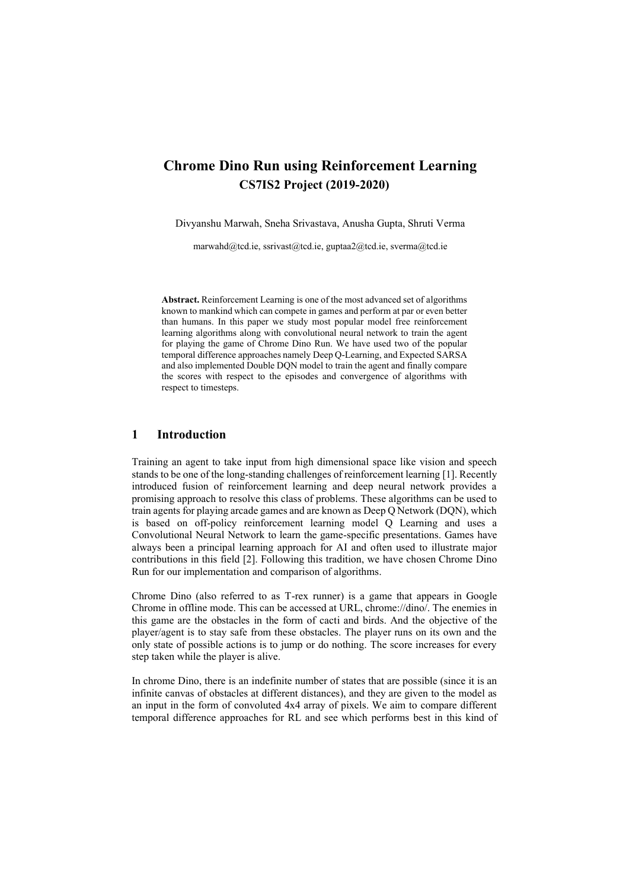# **Chrome Dino Run using Reinforcement Learning CS7IS2 Project (2019-2020)**

Divyanshu Marwah, Sneha Srivastava, Anusha Gupta, Shruti Verma

marwahd@tcd.ie, ssrivast@tcd.ie, guptaa2@tcd.ie, sverma@tcd.ie

**Abstract.** Reinforcement Learning is one of the most advanced set of algorithms known to mankind which can compete in games and perform at par or even better than humans. In this paper we study most popular model free reinforcement learning algorithms along with convolutional neural network to train the agent for playing the game of Chrome Dino Run. We have used two of the popular temporal difference approaches namely Deep Q-Learning, and Expected SARSA and also implemented Double DQN model to train the agent and finally compare the scores with respect to the episodes and convergence of algorithms with respect to timesteps.

#### **1 Introduction**

Training an agent to take input from high dimensional space like vision and speech stands to be one of the long-standing challenges of reinforcement learning [1]. Recently introduced fusion of reinforcement learning and deep neural network provides a promising approach to resolve this class of problems. These algorithms can be used to train agents for playing arcade games and are known as Deep Q Network (DQN), which is based on off-policy reinforcement learning model Q Learning and uses a Convolutional Neural Network to learn the game-specific presentations. Games have always been a principal learning approach for AI and often used to illustrate major contributions in this field [2]. Following this tradition, we have chosen Chrome Dino Run for our implementation and comparison of algorithms.

Chrome Dino (also referred to as T-rex runner) is a game that appears in Google Chrome in offline mode. This can be accessed at URL, chrome://dino/. The enemies in this game are the obstacles in the form of cacti and birds. And the objective of the player/agent is to stay safe from these obstacles. The player runs on its own and the only state of possible actions is to jump or do nothing. The score increases for every step taken while the player is alive.

In chrome Dino, there is an indefinite number of states that are possible (since it is an infinite canvas of obstacles at different distances), and they are given to the model as an input in the form of convoluted 4x4 array of pixels. We aim to compare different temporal difference approaches for RL and see which performs best in this kind of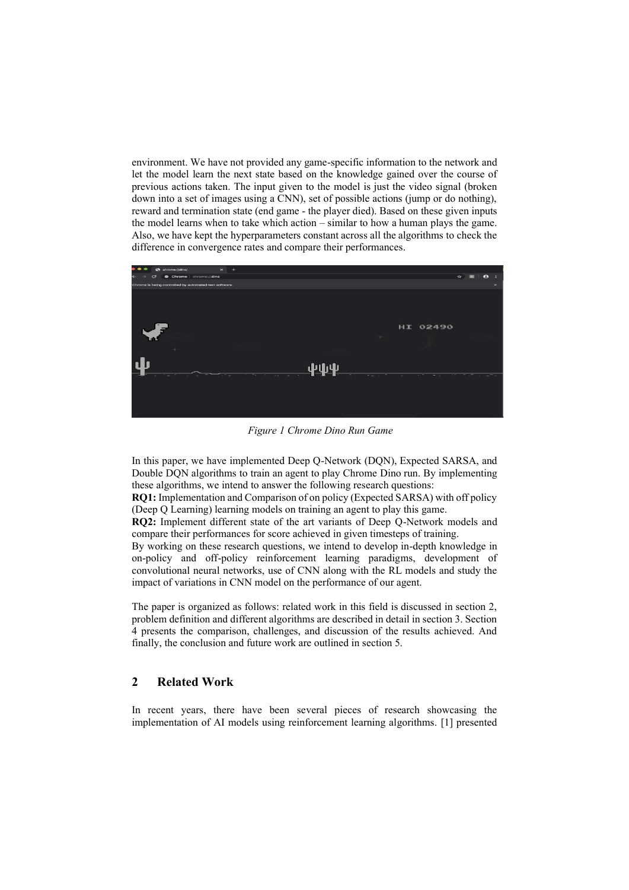environment. We have not provided any game-specific information to the network and let the model learn the next state based on the knowledge gained over the course of previous actions taken. The input given to the model is just the video signal (broken down into a set of images using a CNN), set of possible actions (jump or do nothing), reward and termination state (end game - the player died). Based on these given inputs the model learns when to take which action – similar to how a human plays the game. Also, we have kept the hyperparameters constant across all the algorithms to check the difference in convergence rates and compare their performances.



*Figure 1 Chrome Dino Run Game*

In this paper, we have implemented Deep Q-Network (DQN), Expected SARSA, and Double DQN algorithms to train an agent to play Chrome Dino run. By implementing these algorithms, we intend to answer the following research questions:

**RQ1:** Implementation and Comparison of on policy (Expected SARSA) with off policy (Deep Q Learning) learning models on training an agent to play this game.

**RQ2:** Implement different state of the art variants of Deep Q-Network models and compare their performances for score achieved in given timesteps of training.

By working on these research questions, we intend to develop in-depth knowledge in on-policy and off-policy reinforcement learning paradigms, development of convolutional neural networks, use of CNN along with the RL models and study the impact of variations in CNN model on the performance of our agent.

The paper is organized as follows: related work in this field is discussed in section 2, problem definition and different algorithms are described in detail in section 3. Section 4 presents the comparison, challenges, and discussion of the results achieved. And finally, the conclusion and future work are outlined in section 5.

#### **2 Related Work**

In recent years, there have been several pieces of research showcasing the implementation of AI models using reinforcement learning algorithms. [1] presented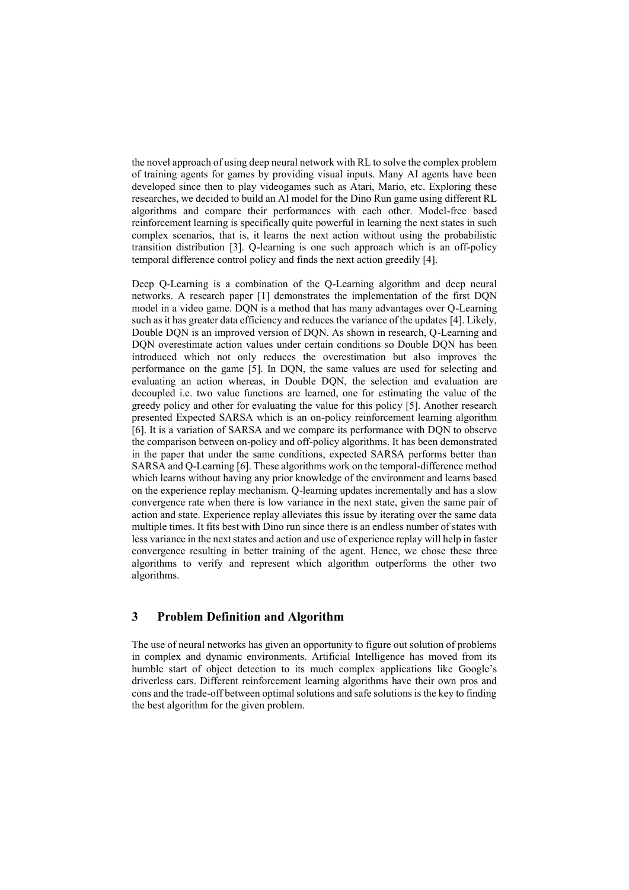the novel approach of using deep neural network with RL to solve the complex problem of training agents for games by providing visual inputs. Many AI agents have been developed since then to play videogames such as Atari, Mario, etc. Exploring these researches, we decided to build an AI model for the Dino Run game using different RL algorithms and compare their performances with each other. Model-free based reinforcement learning is specifically quite powerful in learning the next states in such complex scenarios, that is, it learns the next action without using the probabilistic transition distribution [3]. Q-learning is one such approach which is an off-policy temporal difference control policy and finds the next action greedily [4].

Deep Q-Learning is a combination of the Q-Learning algorithm and deep neural networks. A research paper [1] demonstrates the implementation of the first DQN model in a video game. DQN is a method that has many advantages over Q-Learning such as it has greater data efficiency and reduces the variance of the updates [4]. Likely, Double DQN is an improved version of DQN. As shown in research, Q-Learning and DQN overestimate action values under certain conditions so Double DQN has been introduced which not only reduces the overestimation but also improves the performance on the game [5]. In DQN, the same values are used for selecting and evaluating an action whereas, in Double DQN, the selection and evaluation are decoupled i.e. two value functions are learned, one for estimating the value of the greedy policy and other for evaluating the value for this policy [5]. Another research presented Expected SARSA which is an on-policy reinforcement learning algorithm [6]. It is a variation of SARSA and we compare its performance with DQN to observe the comparison between on-policy and off-policy algorithms. It has been demonstrated in the paper that under the same conditions, expected SARSA performs better than SARSA and Q-Learning [6]. These algorithms work on the temporal-difference method which learns without having any prior knowledge of the environment and learns based on the experience replay mechanism. Q-learning updates incrementally and has a slow convergence rate when there is low variance in the next state, given the same pair of action and state. Experience replay alleviates this issue by iterating over the same data multiple times. It fits best with Dino run since there is an endless number of states with less variance in the next states and action and use of experience replay will help in faster convergence resulting in better training of the agent. Hence, we chose these three algorithms to verify and represent which algorithm outperforms the other two algorithms.

## **3 Problem Definition and Algorithm**

The use of neural networks has given an opportunity to figure out solution of problems in complex and dynamic environments. Artificial Intelligence has moved from its humble start of object detection to its much complex applications like Google's driverless cars. Different reinforcement learning algorithms have their own pros and cons and the trade-off between optimal solutions and safe solutions is the key to finding the best algorithm for the given problem.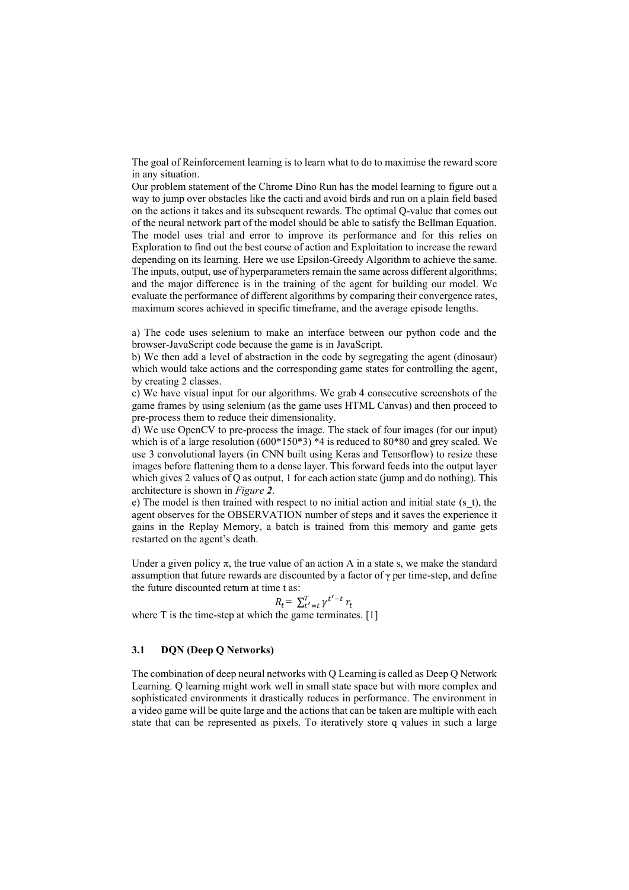The goal of Reinforcement learning is to learn what to do to maximise the reward score in any situation.

Our problem statement of the Chrome Dino Run has the model learning to figure out a way to jump over obstacles like the cacti and avoid birds and run on a plain field based on the actions it takes and its subsequent rewards. The optimal Q-value that comes out of the neural network part of the model should be able to satisfy the Bellman Equation. The model uses trial and error to improve its performance and for this relies on Exploration to find out the best course of action and Exploitation to increase the reward depending on its learning. Here we use Epsilon-Greedy Algorithm to achieve the same. The inputs, output, use of hyperparameters remain the same across different algorithms; and the major difference is in the training of the agent for building our model. We evaluate the performance of different algorithms by comparing their convergence rates, maximum scores achieved in specific timeframe, and the average episode lengths.

a) The code uses selenium to make an interface between our python code and the browser-JavaScript code because the game is in JavaScript.

b) We then add a level of abstraction in the code by segregating the agent (dinosaur) which would take actions and the corresponding game states for controlling the agent, by creating 2 classes.

c) We have visual input for our algorithms. We grab 4 consecutive screenshots of the game frames by using selenium (as the game uses HTML Canvas) and then proceed to pre-process them to reduce their dimensionality.

d) We use OpenCV to pre-process the image. The stack of four images (for our input) which is of a large resolution  $(600*150*3)$  \*4 is reduced to  $80*80$  and grey scaled. We use 3 convolutional layers (in CNN built using Keras and Tensorflow) to resize these images before flattening them to a dense layer. This forward feeds into the output layer which gives 2 values of Q as output, 1 for each action state (jump and do nothing). This architecture is shown in *[Figure](#page-4-0) 2*.

e) The model is then trained with respect to no initial action and initial state (s\_t), the agent observes for the OBSERVATION number of steps and it saves the experience it gains in the Replay Memory, a batch is trained from this memory and game gets restarted on the agent's death.

Under a given policy  $\pi$ , the true value of an action A in a state s, we make the standard assumption that future rewards are discounted by a factor of γ per time-step, and define the future discounted return at time t as:

$$
R_t = \sum_{t'=t}^T \gamma^{t'-t} r_t
$$

where  $T$  is the time-step at which the game terminates.  $[1]$ 

#### **3.1 DQN (Deep Q Networks)**

The combination of deep neural networks with Q Learning is called as Deep Q Network Learning. Q learning might work well in small state space but with more complex and sophisticated environments it drastically reduces in performance. The environment in a video game will be quite large and the actions that can be taken are multiple with each state that can be represented as pixels. To iteratively store q values in such a large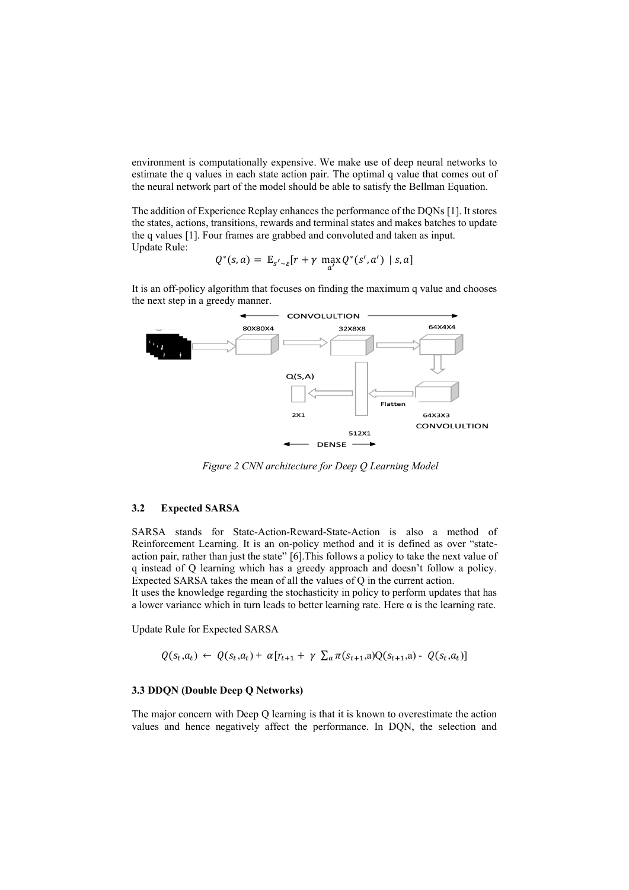environment is computationally expensive. We make use of deep neural networks to estimate the q values in each state action pair. The optimal q value that comes out of the neural network part of the model should be able to satisfy the Bellman Equation.

The addition of Experience Replay enhances the performance of the DQNs [1]. It stores the states, actions, transitions, rewards and terminal states and makes batches to update the q values [1]. Four frames are grabbed and convoluted and taken as input. Update Rule:

$$
Q^*(s, a) = \mathbb{E}_{s' \sim \varepsilon}[r + \gamma \max_{a'} Q^*(s', a') \mid s, a]
$$

It is an off-policy algorithm that focuses on finding the maximum q value and chooses the next step in a greedy manner.



*Figure 2 CNN architecture for Deep Q Learning Model*

#### <span id="page-4-0"></span>**3.2 Expected SARSA**

SARSA stands for State-Action-Reward-State-Action is also a method of Reinforcement Learning. It is an on-policy method and it is defined as over "stateaction pair, rather than just the state" [6].This follows a policy to take the next value of q instead of Q learning which has a greedy approach and doesn't follow a policy. Expected SARSA takes the mean of all the values of Q in the current action.

It uses the knowledge regarding the stochasticity in policy to perform updates that has a lower variance which in turn leads to better learning rate. Here  $\alpha$  is the learning rate.

Update Rule for Expected SARSA

$$
Q(s_t, a_t) \leftarrow Q(s_t, a_t) + \alpha [r_{t+1} + \gamma \sum_a \pi(s_{t+1}, a) Q(s_{t+1}, a) - Q(s_t, a_t)]
$$

#### **3.3 DDQN (Double Deep Q Networks)**

The major concern with Deep Q learning is that it is known to overestimate the action values and hence negatively affect the performance. In DQN, the selection and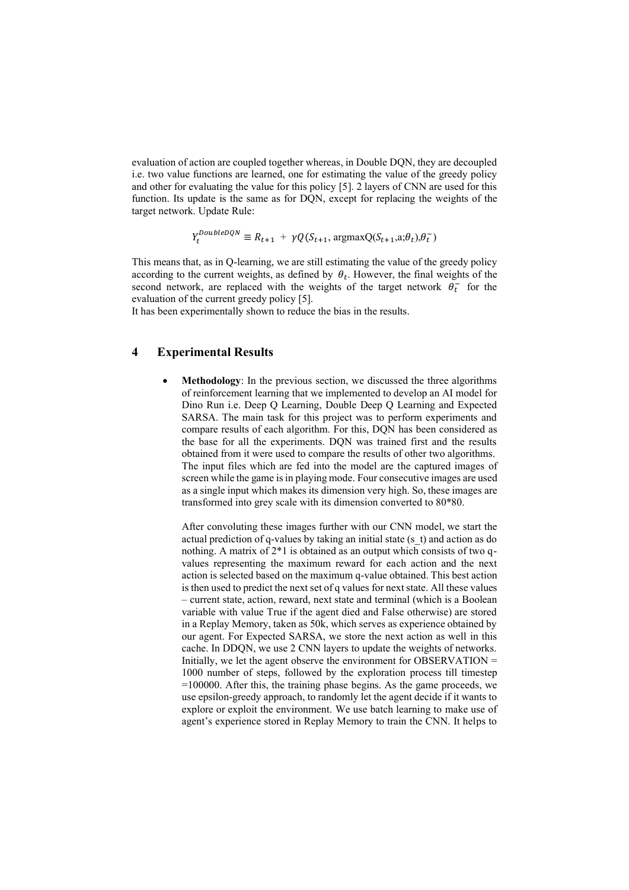evaluation of action are coupled together whereas, in Double DQN, they are decoupled i.e. two value functions are learned, one for estimating the value of the greedy policy and other for evaluating the value for this policy [5]. 2 layers of CNN are used for this function. Its update is the same as for DQN, except for replacing the weights of the target network. Update Rule:

$$
Y_t^{DoubleDQN} \equiv R_{t+1} + \gamma Q(S_{t+1}, \text{argmaxQ}(S_{t+1}, a; \theta_t), \theta_t^{-})
$$

This means that, as in Q-learning, we are still estimating the value of the greedy policy according to the current weights, as defined by  $\theta_t$ . However, the final weights of the second network, are replaced with the weights of the target network  $\theta_t^-$  for the evaluation of the current greedy policy [5].

It has been experimentally shown to reduce the bias in the results.

## **4 Experimental Results**

• **Methodology**: In the previous section, we discussed the three algorithms of reinforcement learning that we implemented to develop an AI model for Dino Run i.e. Deep Q Learning, Double Deep Q Learning and Expected SARSA. The main task for this project was to perform experiments and compare results of each algorithm. For this, DQN has been considered as the base for all the experiments. DQN was trained first and the results obtained from it were used to compare the results of other two algorithms. The input files which are fed into the model are the captured images of screen while the game is in playing mode. Four consecutive images are used as a single input which makes its dimension very high. So, these images are transformed into grey scale with its dimension converted to 80\*80.

After convoluting these images further with our CNN model, we start the actual prediction of q-values by taking an initial state (s\_t) and action as do nothing. A matrix of 2\*1 is obtained as an output which consists of two qvalues representing the maximum reward for each action and the next action is selected based on the maximum q-value obtained. This best action is then used to predict the next set of q values for next state. All these values – current state, action, reward, next state and terminal (which is a Boolean variable with value True if the agent died and False otherwise) are stored in a Replay Memory, taken as 50k, which serves as experience obtained by our agent. For Expected SARSA, we store the next action as well in this cache. In DDQN, we use 2 CNN layers to update the weights of networks. Initially, we let the agent observe the environment for OBSERVATION  $=$ 1000 number of steps, followed by the exploration process till timestep =100000. After this, the training phase begins. As the game proceeds, we use epsilon-greedy approach, to randomly let the agent decide if it wants to explore or exploit the environment. We use batch learning to make use of agent's experience stored in Replay Memory to train the CNN. It helps to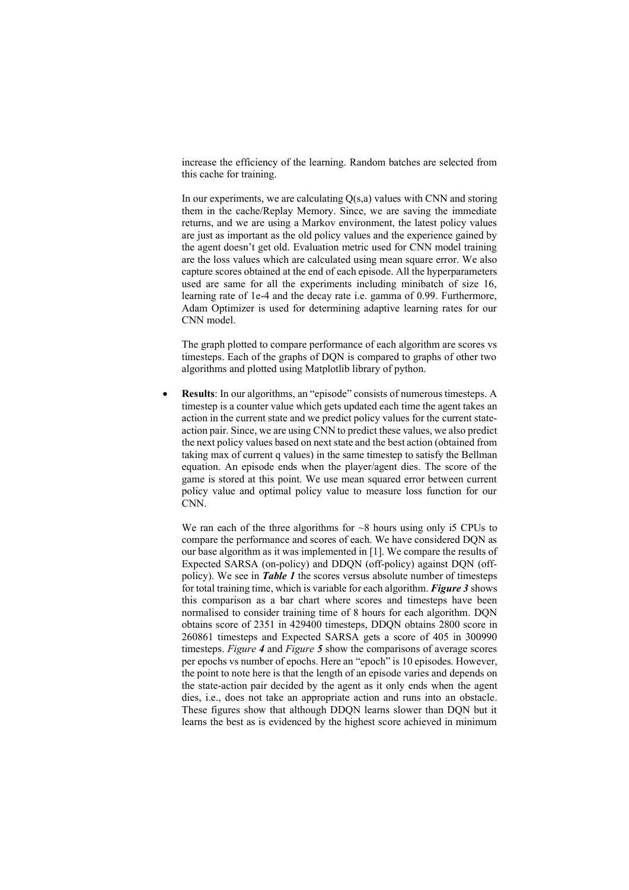increase the efficiency of the learning. Random batches are selected from this cache for training.

In our experiments, we are calculating  $Q(s,a)$  values with CNN and storing them in the cache/Replay Memory. Since, we are saving the immediate returns, and we are using a Markov environment, the latest policy values are just as important as the old policy values and the experience gained by the agent doesn't get old. Evaluation metric used for CNN model training are the loss values which are calculated using mean square error. We also capture scores obtained at the end of each episode. All the hyperparameters used are same for all the experiments including minibatch of size 16, learning rate of 1e-4 and the decay rate i.e. gamma of 0.99. Furthermore, Adam Optimizer is used for determining adaptive learning rates for our CNN model.

The graph plotted to compare performance of each algorithm are scores vs timesteps. Each of the graphs of DQN is compared to graphs of other two algorithms and plotted using Matplotlib library of python.

• **Results**: In our algorithms, an "episode" consists of numerous timesteps. A timestep is a counter value which gets updated each time the agent takes an action in the current state and we predict policy values for the current stateaction pair.Since, we are using CNN to predict these values, we also predict the next policy values based on next state and the best action (obtained from taking max of current q values) in the same timestep to satisfy the Bellman equation. An episode ends when the player/agent dies. The score of the game is stored at this point. We use mean squared error between current policy value and optimal policy value to measure loss function for our CN<sub>N</sub>

We ran each of the three algorithms for  $\sim 8$  hours using only is CPUs to compare the performance and scores of each. We have considered DQN as our base algorithm as it was implemented in [1]. We compare the results of Expected SARSA (on-policy) and DDQN (off-policy) against DQN (offpolicy). We see in *[Table 1](#page-7-0)* the scores versus absolute number of timesteps for total training time, which is variable for each algorithm. *[Figure 3](#page-7-1)* shows this comparison as a bar chart where scores and timesteps have been normalised to consider training time of 8 hours for each algorithm. DQN obtains score of 2351 in 429400 timesteps, DDQN obtains 2800 score in 260861 timesteps and Expected SARSA gets a score of 405 in 300990 timesteps. *[Figure](#page-7-2) 4* and *[Figure](#page-7-3) 5* show the comparisons of average scores per epochs vs number of epochs. Here an "epoch" is 10 episodes. However, the point to note here is that the length of an episode varies and depends on the state-action pair decided by the agent as it only ends when the agent dies, i.e., does not take an appropriate action and runs into an obstacle. These figures show that although DDQN learns slower than DQN but it learns the best as is evidenced by the highest score achieved in minimum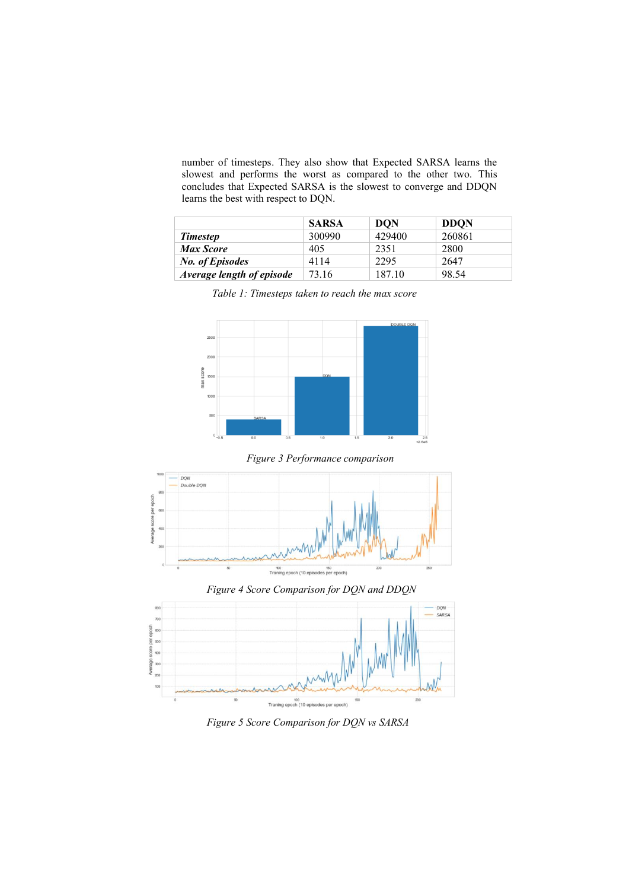number of timesteps. They also show that Expected SARSA learns the slowest and performs the worst as compared to the other two. This concludes that Expected SARSA is the slowest to converge and DDQN learns the best with respect to DQN.

|                           | <b>SARSA</b> | <b>DON</b> | <b>DDON</b> |
|---------------------------|--------------|------------|-------------|
| <b>Timestep</b>           | 300990       | 429400     | 260861      |
| <b>Max Score</b>          | 405          | 2351       | 2800        |
| <b>No. of Episodes</b>    | 4114         | 2295       | 2647        |
| Average length of episode | 73.16        | 187.10     | 98.54       |

*Table 1: Timesteps taken to reach the max score*

<span id="page-7-0"></span>

*Figure 3 Performance comparison*

<span id="page-7-1"></span>

<span id="page-7-2"></span>*Figure 4 Score Comparison for DQN and DDQN*

![](_page_7_Figure_7.jpeg)

<span id="page-7-3"></span>*Figure 5 Score Comparison for DQN vs SARSA*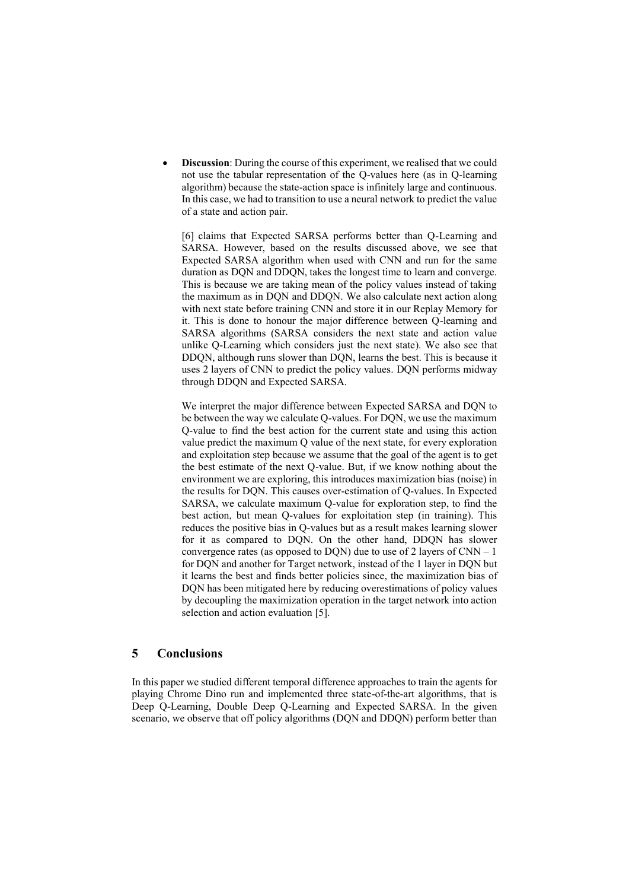**Discussion**: During the course of this experiment, we realised that we could not use the tabular representation of the Q-values here (as in Q-learning algorithm) because the state-action space is infinitely large and continuous. In this case, we had to transition to use a neural network to predict the value of a state and action pair.

[6] claims that Expected SARSA performs better than Q-Learning and SARSA. However, based on the results discussed above, we see that Expected SARSA algorithm when used with CNN and run for the same duration as DQN and DDQN, takes the longest time to learn and converge. This is because we are taking mean of the policy values instead of taking the maximum as in DQN and DDQN. We also calculate next action along with next state before training CNN and store it in our Replay Memory for it. This is done to honour the major difference between Q-learning and SARSA algorithms (SARSA considers the next state and action value unlike Q-Learning which considers just the next state). We also see that DDQN, although runs slower than DQN, learns the best. This is because it uses 2 layers of CNN to predict the policy values. DQN performs midway through DDQN and Expected SARSA.

We interpret the major difference between Expected SARSA and DQN to be between the way we calculate Q-values. For DQN, we use the maximum Q-value to find the best action for the current state and using this action value predict the maximum Q value of the next state, for every exploration and exploitation step because we assume that the goal of the agent is to get the best estimate of the next Q-value. But, if we know nothing about the environment we are exploring, this introduces maximization bias (noise) in the results for DQN. This causes over-estimation of Q-values. In Expected SARSA, we calculate maximum Q-value for exploration step, to find the best action, but mean Q-values for exploitation step (in training). This reduces the positive bias in Q-values but as a result makes learning slower for it as compared to DQN. On the other hand, DDQN has slower convergence rates (as opposed to DQN) due to use of  $2$  layers of  $CNN - 1$ for DQN and another for Target network, instead of the 1 layer in DQN but it learns the best and finds better policies since, the maximization bias of DQN has been mitigated here by reducing overestimations of policy values by decoupling the maximization operation in the target network into action selection and action evaluation [5].

### **5 Conclusions**

In this paper we studied different temporal difference approaches to train the agents for playing Chrome Dino run and implemented three state-of-the-art algorithms, that is Deep Q-Learning, Double Deep Q-Learning and Expected SARSA. In the given scenario, we observe that off policy algorithms (DQN and DDQN) perform better than